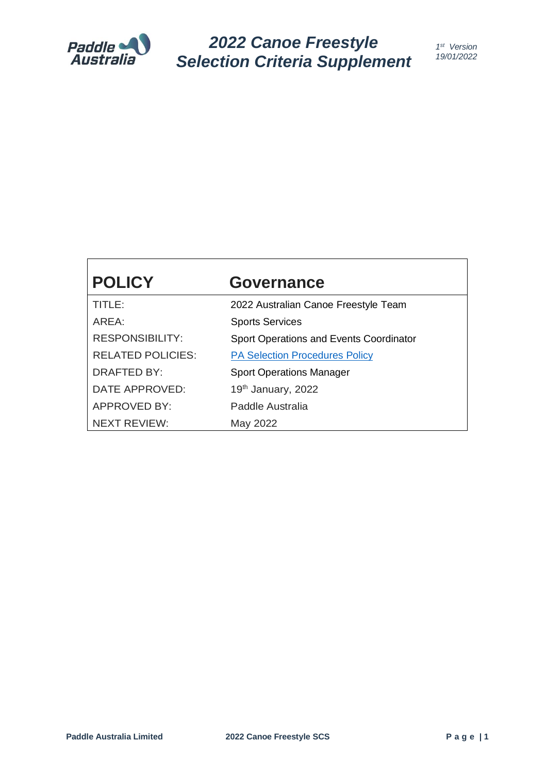

*2022 Canoe Freestyle Selection Criteria Supplement*

| <b>POLICY</b>            | <b>Governance</b>                       |
|--------------------------|-----------------------------------------|
| TITLE:                   | 2022 Australian Canoe Freestyle Team    |
| AREA:                    | <b>Sports Services</b>                  |
| <b>RESPONSIBILITY:</b>   | Sport Operations and Events Coordinator |
| <b>RELATED POLICIES:</b> | <b>PA Selection Procedures Policy</b>   |
| <b>DRAFTED BY:</b>       | <b>Sport Operations Manager</b>         |
| DATE APPROVED:           | 19th January, 2022                      |
| <b>APPROVED BY:</b>      | Paddle Australia                        |
| NEXT REVIEW:             | May 2022                                |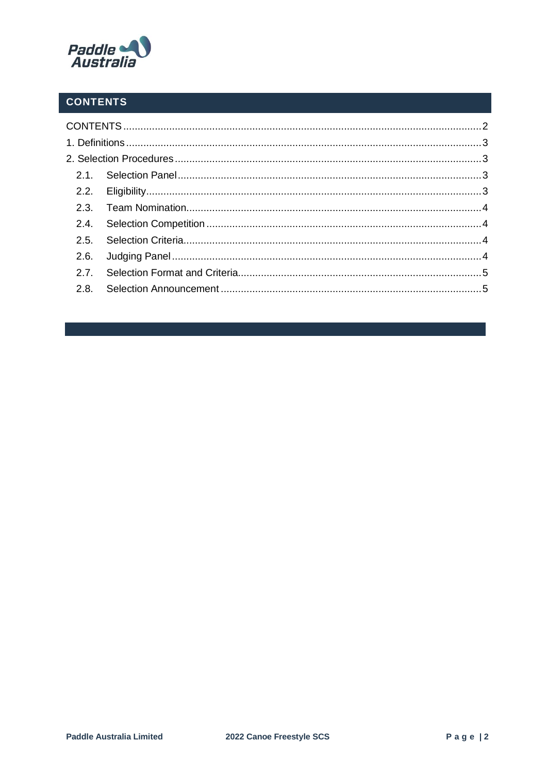

# <span id="page-1-0"></span>**CONTENTS**

| 2.4. |  |
|------|--|
|      |  |
|      |  |
|      |  |
|      |  |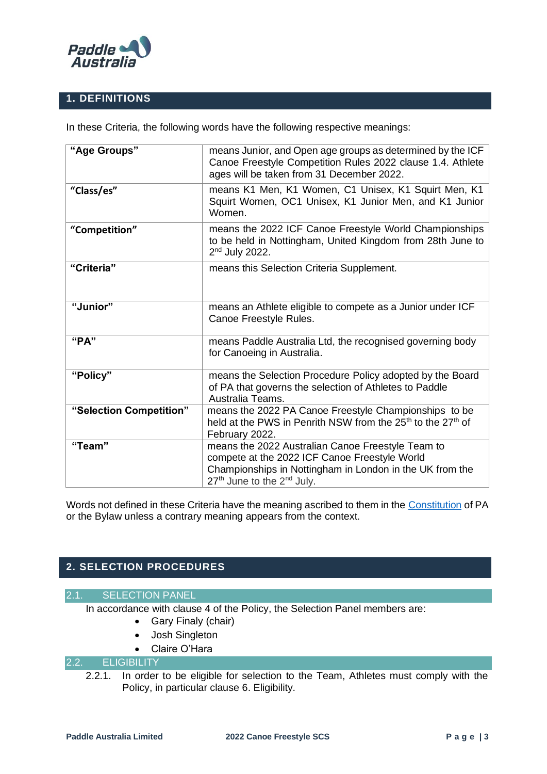

# <span id="page-2-0"></span>**1. DEFINITIONS**

In these Criteria, the following words have the following respective meanings:

| "Age Groups"            | means Junior, and Open age groups as determined by the ICF<br>Canoe Freestyle Competition Rules 2022 clause 1.4. Athlete<br>ages will be taken from 31 December 2022.                                                |
|-------------------------|----------------------------------------------------------------------------------------------------------------------------------------------------------------------------------------------------------------------|
| "Class/es"              | means K1 Men, K1 Women, C1 Unisex, K1 Squirt Men, K1<br>Squirt Women, OC1 Unisex, K1 Junior Men, and K1 Junior<br>Women.                                                                                             |
| "Competition"           | means the 2022 ICF Canoe Freestyle World Championships<br>to be held in Nottingham, United Kingdom from 28th June to<br>$2nd$ July 2022.                                                                             |
| "Criteria"              | means this Selection Criteria Supplement.                                                                                                                                                                            |
| "Junior"                | means an Athlete eligible to compete as a Junior under ICF<br>Canoe Freestyle Rules.                                                                                                                                 |
| "PA"                    | means Paddle Australia Ltd, the recognised governing body<br>for Canoeing in Australia.                                                                                                                              |
| "Policy"                | means the Selection Procedure Policy adopted by the Board<br>of PA that governs the selection of Athletes to Paddle<br>Australia Teams.                                                                              |
| "Selection Competition" | means the 2022 PA Canoe Freestyle Championships to be<br>held at the PWS in Penrith NSW from the 25 <sup>th</sup> to the 27 <sup>th</sup> of<br>February 2022.                                                       |
| "Team"                  | means the 2022 Australian Canoe Freestyle Team to<br>compete at the 2022 ICF Canoe Freestyle World<br>Championships in Nottingham in London in the UK from the<br>27 <sup>th</sup> June to the 2 <sup>nd</sup> July. |

Words not defined in these Criteria have the meaning ascribed to them in the [Constitution](https://paddle.org.au/wp-content/uploads/2019/06/20190413-POL-PA-Constitution.pdf) of PA or the Bylaw unless a contrary meaning appears from the context.

# <span id="page-2-1"></span>**2. SELECTION PROCEDURES**

#### 2.1. SELECTION PANEL

<span id="page-2-2"></span>In accordance with clause 4 of the Policy, the Selection Panel members are:

- Gary Finaly (chair)
- Josh Singleton
- Claire O'Hara

# <span id="page-2-3"></span>2.2. ELIGIBILITY

2.2.1. In order to be eligible for selection to the Team, Athletes must comply with the Policy, in particular clause 6. Eligibility.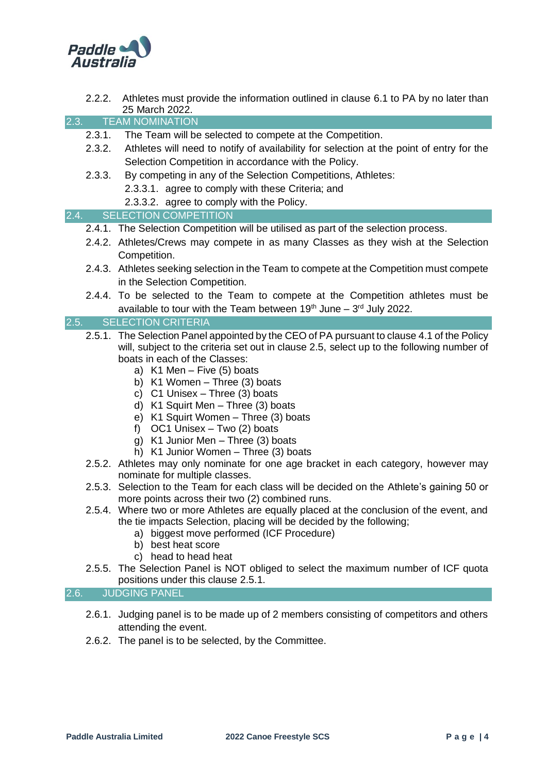

2.2.2. Athletes must provide the information outlined in clause 6.1 to PA by no later than 25 March 2022.

<span id="page-3-0"></span>2.3. TEAM NOMINATION

- 2.3.1. The Team will be selected to compete at the Competition.
- 2.3.2. Athletes will need to notify of availability for selection at the point of entry for the Selection Competition in accordance with the Policy.
- 2.3.3. By competing in any of the Selection Competitions, Athletes:
	- 2.3.3.1. agree to comply with these Criteria; and
	- 2.3.3.2. agree to comply with the Policy.

#### <span id="page-3-1"></span>2.4. SELECTION COMPETITION

- 2.4.1. The Selection Competition will be utilised as part of the selection process.
- 2.4.2. Athletes/Crews may compete in as many Classes as they wish at the Selection Competition.
- 2.4.3. Athletes seeking selection in the Team to compete at the Competition must compete in the Selection Competition.
- 2.4.4. To be selected to the Team to compete at the Competition athletes must be available to tour with the Team between  $19<sup>th</sup>$  June  $-3<sup>rd</sup>$  July 2022.

### <span id="page-3-2"></span>2.5. SELECTION CRITERIA

- 2.5.1. The Selection Panel appointed by the CEO of PA pursuant to clause 4.1 of the Policy will, subject to the criteria set out in clause 2.5, select up to the following number of boats in each of the Classes:
	- a) K1 Men Five (5) boats
	- b) K1 Women Three (3) boats
	- c) C1 Unisex Three (3) boats
	- d) K1 Squirt Men Three (3) boats
	- e) K1 Squirt Women Three (3) boats
	- f) OC1 Unisex Two (2) boats
	- g) K1 Junior Men Three (3) boats
	- h) K1 Junior Women Three (3) boats
- 2.5.2. Athletes may only nominate for one age bracket in each category, however may nominate for multiple classes.
- 2.5.3. Selection to the Team for each class will be decided on the Athlete's gaining 50 or more points across their two (2) combined runs.
- 2.5.4. Where two or more Athletes are equally placed at the conclusion of the event, and the tie impacts Selection, placing will be decided by the following;
	- a) biggest move performed (ICF Procedure)
	- b) best heat score
	- c) head to head heat
- 2.5.5. The Selection Panel is NOT obliged to select the maximum number of ICF quota positions under this clause 2.5.1.

#### <span id="page-3-3"></span>2.6. JUDGING PANEL

- 2.6.1. Judging panel is to be made up of 2 members consisting of competitors and others attending the event.
- 2.6.2. The panel is to be selected, by the Committee.